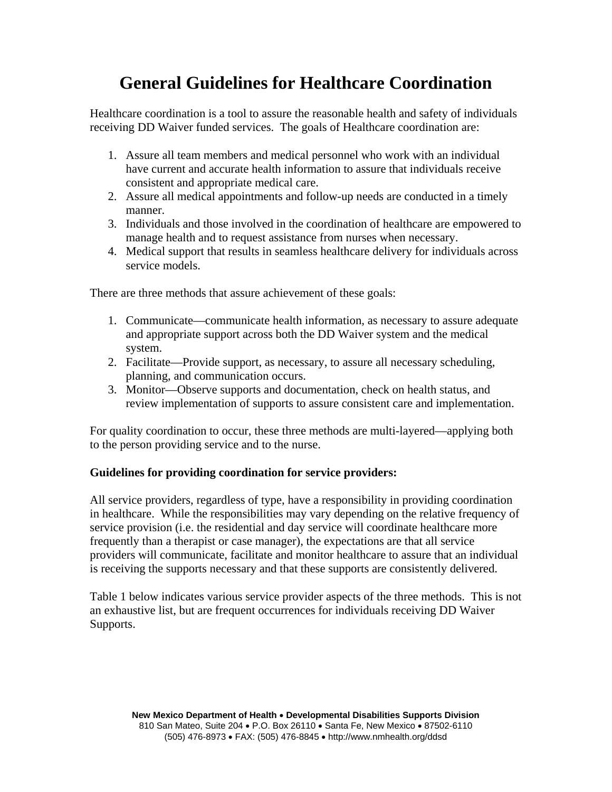## **General Guidelines for Healthcare Coordination**

Healthcare coordination is a tool to assure the reasonable health and safety of individuals receiving DD Waiver funded services. The goals of Healthcare coordination are:

- 1. Assure all team members and medical personnel who work with an individual have current and accurate health information to assure that individuals receive consistent and appropriate medical care.
- 2. Assure all medical appointments and follow-up needs are conducted in a timely manner.
- 3. Individuals and those involved in the coordination of healthcare are empowered to manage health and to request assistance from nurses when necessary.
- 4. Medical support that results in seamless healthcare delivery for individuals across service models.

There are three methods that assure achievement of these goals:

- 1. Communicate—communicate health information, as necessary to assure adequate and appropriate support across both the DD Waiver system and the medical system.
- 2. Facilitate—Provide support, as necessary, to assure all necessary scheduling, planning, and communication occurs.
- 3. Monitor—Observe supports and documentation, check on health status, and review implementation of supports to assure consistent care and implementation.

For quality coordination to occur, these three methods are multi-layered—applying both to the person providing service and to the nurse.

## **Guidelines for providing coordination for service providers:**

All service providers, regardless of type, have a responsibility in providing coordination in healthcare. While the responsibilities may vary depending on the relative frequency of service provision (i.e. the residential and day service will coordinate healthcare more frequently than a therapist or case manager), the expectations are that all service providers will communicate, facilitate and monitor healthcare to assure that an individual is receiving the supports necessary and that these supports are consistently delivered.

Table 1 below indicates various service provider aspects of the three methods. This is not an exhaustive list, but are frequent occurrences for individuals receiving DD Waiver Supports.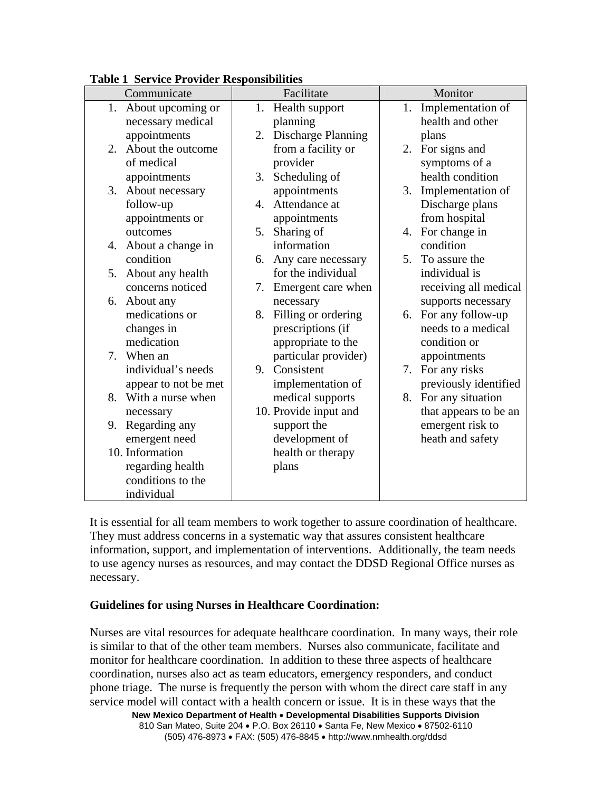| rable r Service rrovider responsibilities<br>Communicate | Facilitate                      | Monitor                 |  |
|----------------------------------------------------------|---------------------------------|-------------------------|--|
|                                                          |                                 |                         |  |
| 1.<br>About upcoming or                                  | Health support<br>1.            | Implementation of<br>1. |  |
| necessary medical                                        | planning                        | health and other        |  |
| appointments                                             | <b>Discharge Planning</b><br>2. | plans                   |  |
| About the outcome<br>2.                                  | from a facility or              | For signs and<br>2.     |  |
| of medical                                               | provider                        | symptoms of a           |  |
| appointments                                             | Scheduling of<br>3.             | health condition        |  |
| About necessary<br>3.                                    | appointments                    | 3.<br>Implementation of |  |
| follow-up                                                | Attendance at<br>4.             | Discharge plans         |  |
| appointments or                                          | appointments                    | from hospital           |  |
| outcomes                                                 | Sharing of<br>5.                | 4. For change in        |  |
| About a change in<br>4.                                  | information                     | condition               |  |
| condition                                                | 6. Any care necessary           | 5. To assure the        |  |
| About any health<br>5.                                   | for the individual              | individual is           |  |
| concerns noticed                                         | 7. Emergent care when           | receiving all medical   |  |
| About any<br>6.                                          | necessary                       | supports necessary      |  |
| medications or                                           | 8. Filling or ordering          | 6. For any follow-up    |  |
| changes in                                               | prescriptions (if               | needs to a medical      |  |
| medication                                               | appropriate to the              | condition or            |  |
| When an<br>7.                                            | particular provider)            | appointments            |  |
| individual's needs                                       | 9. Consistent                   | For any risks<br>7.     |  |
| appear to not be met                                     | implementation of               | previously identified   |  |
| With a nurse when<br>8.                                  | medical supports                | For any situation<br>8. |  |
| necessary                                                | 10. Provide input and           | that appears to be an   |  |
| Regarding any<br>9.                                      | support the                     | emergent risk to        |  |
| emergent need                                            | development of                  | heath and safety        |  |
| 10. Information                                          | health or therapy               |                         |  |
| regarding health                                         | plans                           |                         |  |
| conditions to the                                        |                                 |                         |  |
| individual                                               |                                 |                         |  |

**Table 1 Service Provider Responsibilities** 

It is essential for all team members to work together to assure coordination of healthcare. They must address concerns in a systematic way that assures consistent healthcare information, support, and implementation of interventions. Additionally, the team needs to use agency nurses as resources, and may contact the DDSD Regional Office nurses as necessary.

## **Guidelines for using Nurses in Healthcare Coordination:**

Nurses are vital resources for adequate healthcare coordination. In many ways, their role is similar to that of the other team members. Nurses also communicate, facilitate and monitor for healthcare coordination. In addition to these three aspects of healthcare coordination, nurses also act as team educators, emergency responders, and conduct phone triage. The nurse is frequently the person with whom the direct care staff in any service model will contact with a health concern or issue. It is in these ways that the

**New Mexico Department of Health** • **Developmental Disabilities Supports Division** 810 San Mateo, Suite 204 • P.O. Box 26110 • Santa Fe, New Mexico • 87502-6110 (505) 476-8973 • FAX: (505) 476-8845 • http://www.nmhealth.org/ddsd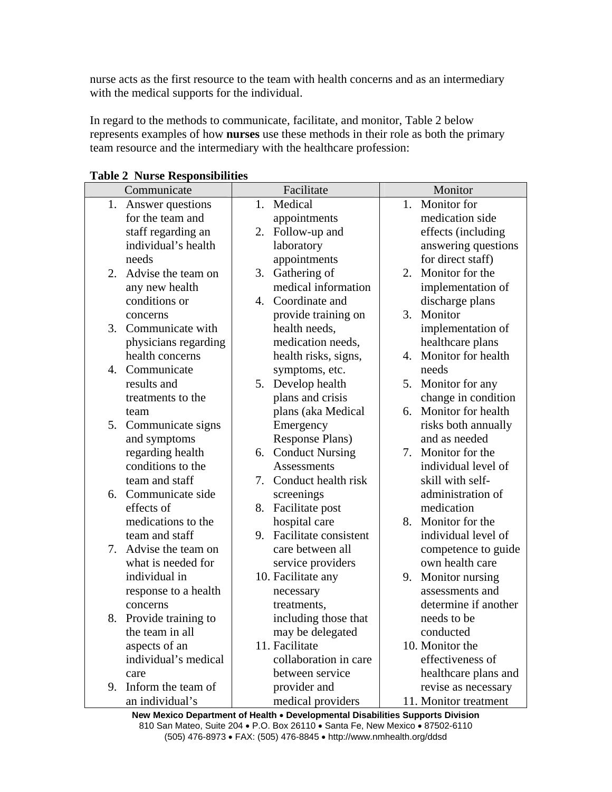nurse acts as the first resource to the team with health concerns and as an intermediary with the medical supports for the individual.

In regard to the methods to communicate, facilitate, and monitor, Table 2 below represents examples of how **nurses** use these methods in their role as both the primary team resource and the intermediary with the healthcare profession:

|    | Communicate            |    | Facilitate                   |    | Monitor               |  |
|----|------------------------|----|------------------------------|----|-----------------------|--|
| 1. | Answer questions       | 1. | Medical                      |    | 1. Monitor for        |  |
|    | for the team and       |    | appointments                 |    | medication side       |  |
|    | staff regarding an     |    | 2. Follow-up and             |    | effects (including    |  |
|    | individual's health    |    | laboratory                   |    | answering questions   |  |
|    | needs                  |    | appointments                 |    | for direct staff)     |  |
| 2. | Advise the team on     | 3. | Gathering of                 |    | 2. Monitor for the    |  |
|    | any new health         |    | medical information          |    | implementation of     |  |
|    | conditions or          |    | 4. Coordinate and            |    | discharge plans       |  |
|    | concerns               |    | provide training on          | 3. | Monitor               |  |
| 3. | Communicate with       |    | health needs,                |    | implementation of     |  |
|    | physicians regarding   |    | medication needs,            |    | healthcare plans      |  |
|    | health concerns        |    | health risks, signs,         |    | 4. Monitor for health |  |
|    | 4. Communicate         |    | symptoms, etc.               |    | needs                 |  |
|    | results and            |    | 5. Develop health            |    | 5. Monitor for any    |  |
|    | treatments to the      |    | plans and crisis             |    | change in condition   |  |
|    | team                   |    | plans (aka Medical           |    | 6. Monitor for health |  |
|    | 5. Communicate signs   |    | Emergency                    |    | risks both annually   |  |
|    | and symptoms           |    | <b>Response Plans</b> )      |    | and as needed         |  |
|    | regarding health       |    | 6. Conduct Nursing           |    | 7. Monitor for the    |  |
|    | conditions to the      |    | <b>Assessments</b>           |    | individual level of   |  |
|    | team and staff         |    | 7. Conduct health risk       |    | skill with self-      |  |
|    | 6. Communicate side    |    | screenings                   |    | administration of     |  |
|    | effects of             | 8. | Facilitate post              |    | medication            |  |
|    | medications to the     |    | hospital care                |    | 8. Monitor for the    |  |
|    | team and staff         | 9. | <b>Facilitate consistent</b> |    | individual level of   |  |
| 7. | Advise the team on     |    | care between all             |    | competence to guide   |  |
|    | what is needed for     |    | service providers            |    | own health care       |  |
|    | individual in          |    | 10. Facilitate any           | 9. | Monitor nursing       |  |
|    | response to a health   |    | necessary                    |    | assessments and       |  |
|    | concerns               |    | treatments,                  |    | determine if another  |  |
|    | 8. Provide training to |    | including those that         |    | needs to be           |  |
|    | the team in all        |    | may be delegated             |    | conducted             |  |
|    | aspects of an          |    | 11. Facilitate               |    | 10. Monitor the       |  |
|    | individual's medical   |    | collaboration in care        |    | effectiveness of      |  |
|    | care                   |    | between service              |    | healthcare plans and  |  |
| 9. | Inform the team of     |    | provider and                 |    | revise as necessary   |  |
|    | an individual's        |    | medical providers            |    | 11. Monitor treatment |  |

**Table 2 Nurse Responsibilities** 

**New Mexico Department of Health** • **Developmental Disabilities Supports Division** 810 San Mateo, Suite 204 • P.O. Box 26110 • Santa Fe, New Mexico • 87502-6110 (505) 476-8973 • FAX: (505) 476-8845 • http://www.nmhealth.org/ddsd